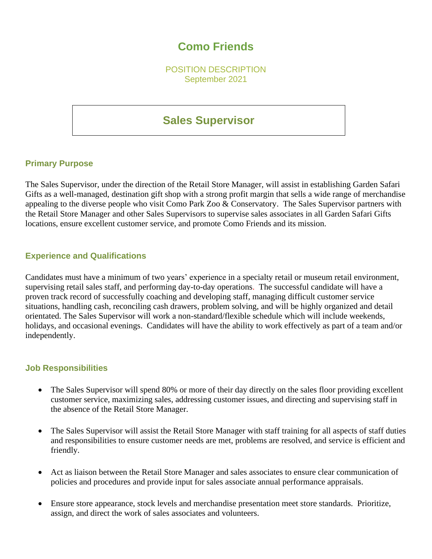# **Como Friends**

POSITION DESCRIPTION September 2021

# **Sales Supervisor**

### **Primary Purpose**

The Sales Supervisor, under the direction of the Retail Store Manager, will assist in establishing Garden Safari Gifts as a well-managed, destination gift shop with a strong profit margin that sells a wide range of merchandise appealing to the diverse people who visit Como Park Zoo & Conservatory. The Sales Supervisor partners with the Retail Store Manager and other Sales Supervisors to supervise sales associates in all Garden Safari Gifts locations, ensure excellent customer service, and promote Como Friends and its mission.

## **Experience and Qualifications**

Candidates must have a minimum of two years' experience in a specialty retail or museum retail environment, supervising retail sales staff, and performing day-to-day operations. The successful candidate will have a proven track record of successfully coaching and developing staff, managing difficult customer service situations, handling cash, reconciling cash drawers, problem solving, and will be highly organized and detail orientated. The Sales Supervisor will work a non-standard/flexible schedule which will include weekends, holidays, and occasional evenings. Candidates will have the ability to work effectively as part of a team and/or independently.

### **Job Responsibilities**

- The Sales Supervisor will spend 80% or more of their day directly on the sales floor providing excellent customer service, maximizing sales, addressing customer issues, and directing and supervising staff in the absence of the Retail Store Manager.
- The Sales Supervisor will assist the Retail Store Manager with staff training for all aspects of staff duties and responsibilities to ensure customer needs are met, problems are resolved, and service is efficient and friendly.
- Act as liaison between the Retail Store Manager and sales associates to ensure clear communication of policies and procedures and provide input for sales associate annual performance appraisals.
- Ensure store appearance, stock levels and merchandise presentation meet store standards. Prioritize, assign, and direct the work of sales associates and volunteers.